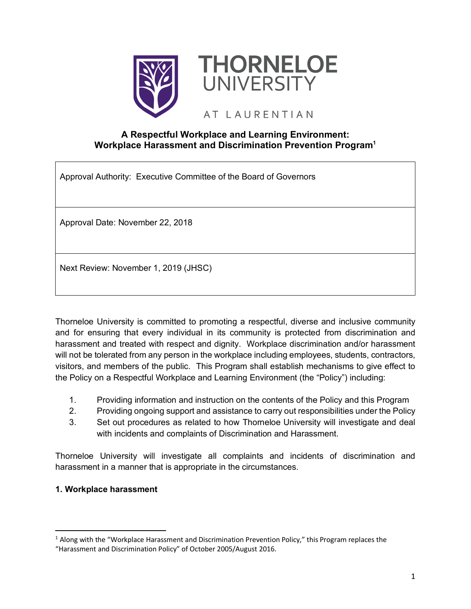



# AT LAURENTIAN

### **A Respectful Workplace and Learning Environment: Workplace Harassment and Discrimination Prevention Program1**

Approval Authority: Executive Committee of the Board of Governors

Approval Date: November 22, 2018

Next Review: November 1, 2019 (JHSC)

Thorneloe University is committed to promoting a respectful, diverse and inclusive community and for ensuring that every individual in its community is protected from discrimination and harassment and treated with respect and dignity. Workplace discrimination and/or harassment will not be tolerated from any person in the workplace including employees, students, contractors, visitors, and members of the public. This Program shall establish mechanisms to give effect to the Policy on a Respectful Workplace and Learning Environment (the "Policy") including:

- 1. Providing information and instruction on the contents of the Policy and this Program
- 2. Providing ongoing support and assistance to carry out responsibilities under the Policy
- 3. Set out procedures as related to how Thorneloe University will investigate and deal with incidents and complaints of Discrimination and Harassment.

Thorneloe University will investigate all complaints and incidents of discrimination and harassment in a manner that is appropriate in the circumstances.

### **1. Workplace harassment**

<sup>&</sup>lt;sup>1</sup> Along with the "Workplace Harassment and Discrimination Prevention Policy," this Program replaces the "Harassment and Discrimination Policy" of October 2005/August 2016.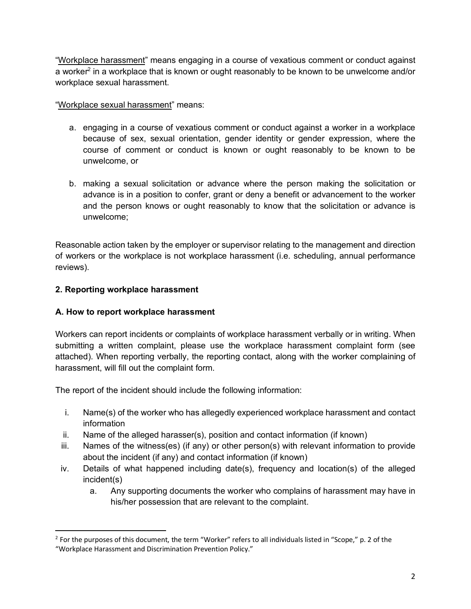"Workplace harassment" means engaging in a course of vexatious comment or conduct against a worker<sup>2</sup> in a workplace that is known or ought reasonably to be known to be unwelcome and/or workplace sexual harassment.

### "Workplace sexual harassment" means:

- a. engaging in a course of vexatious comment or conduct against a worker in a workplace because of sex, sexual orientation, gender identity or gender expression, where the course of comment or conduct is known or ought reasonably to be known to be unwelcome, or
- b. making a sexual solicitation or advance where the person making the solicitation or advance is in a position to confer, grant or deny a benefit or advancement to the worker and the person knows or ought reasonably to know that the solicitation or advance is unwelcome;

Reasonable action taken by the employer or supervisor relating to the management and direction of workers or the workplace is not workplace harassment (i.e. scheduling, annual performance reviews).

### **2. Reporting workplace harassment**

## **A. How to report workplace harassment**

Workers can report incidents or complaints of workplace harassment verbally or in writing. When submitting a written complaint, please use the workplace harassment complaint form (see attached). When reporting verbally, the reporting contact, along with the worker complaining of harassment, will fill out the complaint form.

The report of the incident should include the following information:

- i. Name(s) of the worker who has allegedly experienced workplace harassment and contact information
- ii. Name of the alleged harasser(s), position and contact information (if known)
- iii. Names of the witness(es) (if any) or other person(s) with relevant information to provide about the incident (if any) and contact information (if known)
- iv. Details of what happened including date(s), frequency and location(s) of the alleged incident(s)
	- a. Any supporting documents the worker who complains of harassment may have in his/her possession that are relevant to the complaint.

 $2$  For the purposes of this document, the term "Worker" refers to all individuals listed in "Scope," p. 2 of the "Workplace Harassment and Discrimination Prevention Policy."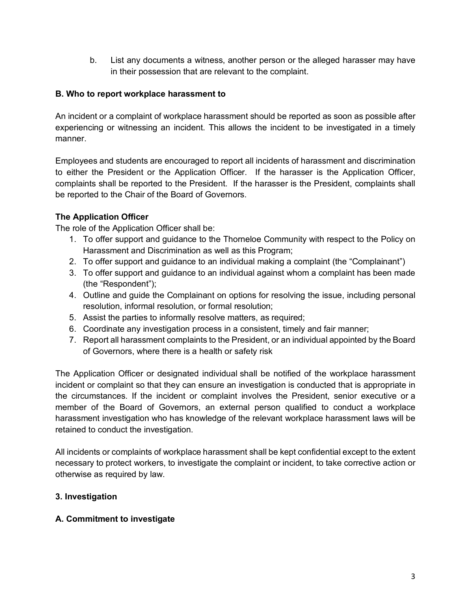b. List any documents a witness, another person or the alleged harasser may have in their possession that are relevant to the complaint.

#### **B. Who to report workplace harassment to**

An incident or a complaint of workplace harassment should be reported as soon as possible after experiencing or witnessing an incident. This allows the incident to be investigated in a timely manner.

Employees and students are encouraged to report all incidents of harassment and discrimination to either the President or the Application Officer. If the harasser is the Application Officer, complaints shall be reported to the President. If the harasser is the President, complaints shall be reported to the Chair of the Board of Governors.

### **The Application Officer**

The role of the Application Officer shall be:

- 1. To offer support and guidance to the Thorneloe Community with respect to the Policy on Harassment and Discrimination as well as this Program;
- 2. To offer support and guidance to an individual making a complaint (the "Complainant")
- 3. To offer support and guidance to an individual against whom a complaint has been made (the "Respondent");
- 4. Outline and guide the Complainant on options for resolving the issue, including personal resolution, informal resolution, or formal resolution;
- 5. Assist the parties to informally resolve matters, as required;
- 6. Coordinate any investigation process in a consistent, timely and fair manner;
- 7. Report all harassment complaints to the President, or an individual appointed by the Board of Governors, where there is a health or safety risk

The Application Officer or designated individual shall be notified of the workplace harassment incident or complaint so that they can ensure an investigation is conducted that is appropriate in the circumstances. If the incident or complaint involves the President, senior executive or a member of the Board of Governors, an external person qualified to conduct a workplace harassment investigation who has knowledge of the relevant workplace harassment laws will be retained to conduct the investigation.

All incidents or complaints of workplace harassment shall be kept confidential except to the extent necessary to protect workers, to investigate the complaint or incident, to take corrective action or otherwise as required by law.

### **3. Investigation**

#### **A. Commitment to investigate**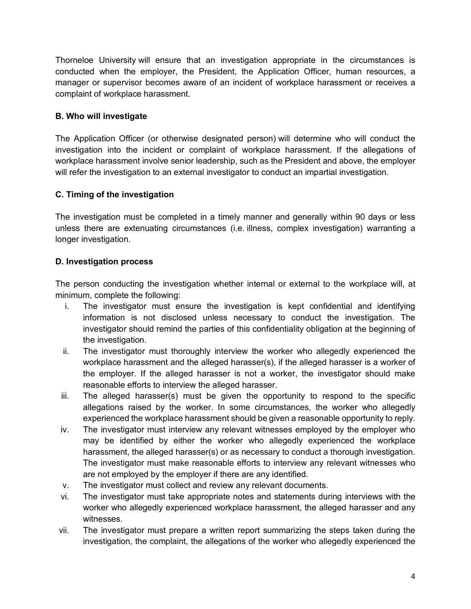Thorneloe University will ensure that an investigation appropriate in the circumstances is conducted when the employer, the President, the Application Officer, human resources, a manager or supervisor becomes aware of an incident of workplace harassment or receives a complaint of workplace harassment.

### **B. Who will investigate**

The Application Officer (or otherwise designated person) will determine who will conduct the investigation into the incident or complaint of workplace harassment. If the allegations of workplace harassment involve senior leadership, such as the President and above, the employer will refer the investigation to an external investigator to conduct an impartial investigation.

### **C. Timing of the investigation**

The investigation must be completed in a timely manner and generally within 90 days or less unless there are extenuating circumstances (i.e. illness, complex investigation) warranting a longer investigation.

### **D. Investigation process**

The person conducting the investigation whether internal or external to the workplace will, at minimum, complete the following:

- i. The investigator must ensure the investigation is kept confidential and identifying information is not disclosed unless necessary to conduct the investigation. The investigator should remind the parties of this confidentiality obligation at the beginning of the investigation.
- ii. The investigator must thoroughly interview the worker who allegedly experienced the workplace harassment and the alleged harasser(s), if the alleged harasser is a worker of the employer. If the alleged harasser is not a worker, the investigator should make reasonable efforts to interview the alleged harasser.
- iii. The alleged harasser(s) must be given the opportunity to respond to the specific allegations raised by the worker. In some circumstances, the worker who allegedly experienced the workplace harassment should be given a reasonable opportunity to reply.
- iv. The investigator must interview any relevant witnesses employed by the employer who may be identified by either the worker who allegedly experienced the workplace harassment, the alleged harasser(s) or as necessary to conduct a thorough investigation. The investigator must make reasonable efforts to interview any relevant witnesses who are not employed by the employer if there are any identified.
- v. The investigator must collect and review any relevant documents.
- vi. The investigator must take appropriate notes and statements during interviews with the worker who allegedly experienced workplace harassment, the alleged harasser and any witnesses.
- vii. The investigator must prepare a written report summarizing the steps taken during the investigation, the complaint, the allegations of the worker who allegedly experienced the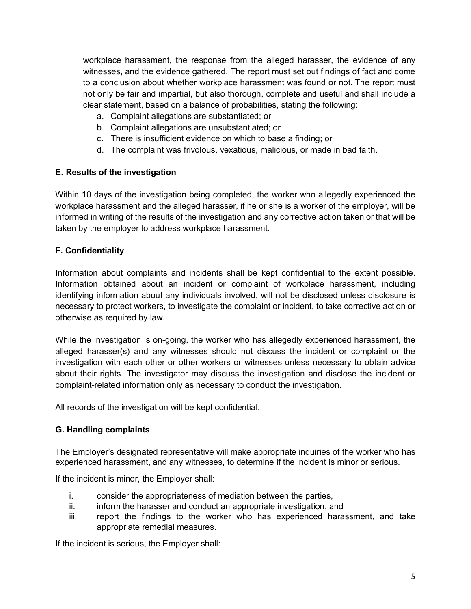workplace harassment, the response from the alleged harasser, the evidence of any witnesses, and the evidence gathered. The report must set out findings of fact and come to a conclusion about whether workplace harassment was found or not. The report must not only be fair and impartial, but also thorough, complete and useful and shall include a clear statement, based on a balance of probabilities, stating the following:

- a. Complaint allegations are substantiated; or
- b. Complaint allegations are unsubstantiated; or
- c. There is insufficient evidence on which to base a finding; or
- d. The complaint was frivolous, vexatious, malicious, or made in bad faith.

### **E. Results of the investigation**

Within 10 days of the investigation being completed, the worker who allegedly experienced the workplace harassment and the alleged harasser, if he or she is a worker of the employer, will be informed in writing of the results of the investigation and any corrective action taken or that will be taken by the employer to address workplace harassment.

### **F. Confidentiality**

Information about complaints and incidents shall be kept confidential to the extent possible. Information obtained about an incident or complaint of workplace harassment, including identifying information about any individuals involved, will not be disclosed unless disclosure is necessary to protect workers, to investigate the complaint or incident, to take corrective action or otherwise as required by law.

While the investigation is on-going, the worker who has allegedly experienced harassment, the alleged harasser(s) and any witnesses should not discuss the incident or complaint or the investigation with each other or other workers or witnesses unless necessary to obtain advice about their rights. The investigator may discuss the investigation and disclose the incident or complaint-related information only as necessary to conduct the investigation.

All records of the investigation will be kept confidential.

#### **G. Handling complaints**

The Employer's designated representative will make appropriate inquiries of the worker who has experienced harassment, and any witnesses, to determine if the incident is minor or serious.

If the incident is minor, the Employer shall:

- i. consider the appropriateness of mediation between the parties,
- ii. inform the harasser and conduct an appropriate investigation, and
- iii. report the findings to the worker who has experienced harassment, and take appropriate remedial measures.

If the incident is serious, the Employer shall: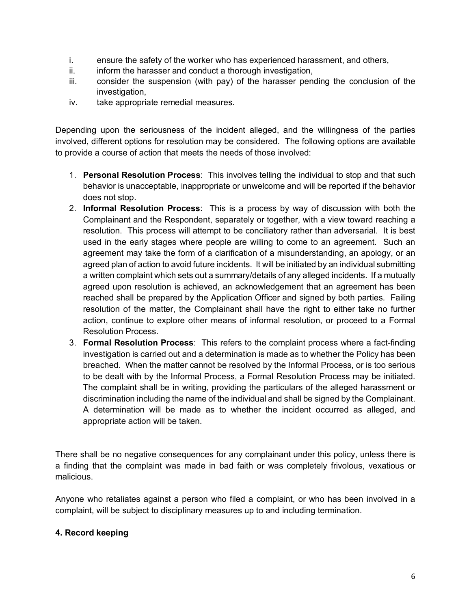- i. ensure the safety of the worker who has experienced harassment, and others,
- ii. inform the harasser and conduct a thorough investigation,
- iii. consider the suspension (with pay) of the harasser pending the conclusion of the investigation,
- iv. take appropriate remedial measures.

Depending upon the seriousness of the incident alleged, and the willingness of the parties involved, different options for resolution may be considered. The following options are available to provide a course of action that meets the needs of those involved:

- 1. **Personal Resolution Process**: This involves telling the individual to stop and that such behavior is unacceptable, inappropriate or unwelcome and will be reported if the behavior does not stop.
- 2. **Informal Resolution Process**: This is a process by way of discussion with both the Complainant and the Respondent, separately or together, with a view toward reaching a resolution. This process will attempt to be conciliatory rather than adversarial. It is best used in the early stages where people are willing to come to an agreement. Such an agreement may take the form of a clarification of a misunderstanding, an apology, or an agreed plan of action to avoid future incidents. It will be initiated by an individual submitting a written complaint which sets out a summary/details of any alleged incidents. If a mutually agreed upon resolution is achieved, an acknowledgement that an agreement has been reached shall be prepared by the Application Officer and signed by both parties. Failing resolution of the matter, the Complainant shall have the right to either take no further action, continue to explore other means of informal resolution, or proceed to a Formal Resolution Process.
- 3. **Formal Resolution Process**: This refers to the complaint process where a fact-finding investigation is carried out and a determination is made as to whether the Policy has been breached. When the matter cannot be resolved by the Informal Process, or is too serious to be dealt with by the Informal Process, a Formal Resolution Process may be initiated. The complaint shall be in writing, providing the particulars of the alleged harassment or discrimination including the name of the individual and shall be signed by the Complainant. A determination will be made as to whether the incident occurred as alleged, and appropriate action will be taken.

There shall be no negative consequences for any complainant under this policy, unless there is a finding that the complaint was made in bad faith or was completely frivolous, vexatious or malicious.

Anyone who retaliates against a person who filed a complaint, or who has been involved in a complaint, will be subject to disciplinary measures up to and including termination.

#### **4. Record keeping**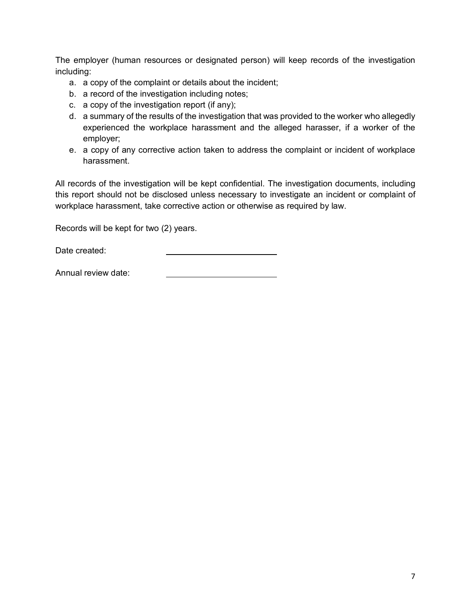The employer (human resources or designated person) will keep records of the investigation including:

- a. a copy of the complaint or details about the incident;
- b. a record of the investigation including notes;
- c. a copy of the investigation report (if any);
- d. a summary of the results of the investigation that was provided to the worker who allegedly experienced the workplace harassment and the alleged harasser, if a worker of the employer;
- e. a copy of any corrective action taken to address the complaint or incident of workplace harassment.

All records of the investigation will be kept confidential. The investigation documents, including this report should not be disclosed unless necessary to investigate an incident or complaint of workplace harassment, take corrective action or otherwise as required by law.

Records will be kept for two (2) years.

Date created:

Annual review date: